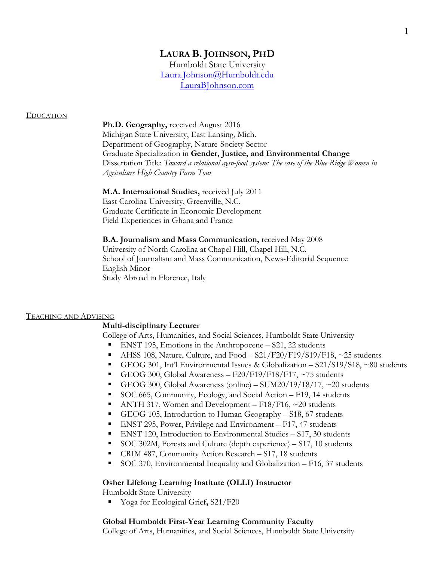# **LAURA B. JOHNSON, PHD**

Humboldt State University Laura.Johnson@Humboldt.edu LauraBJohnson.com

### EDUCATION

**Ph.D. Geography,** received August 2016 Michigan State University, East Lansing, Mich. Department of Geography, Nature-Society Sector Graduate Specialization in **Gender, Justice, and Environmental Change** Dissertation Title: *Toward a relational agro-food system: The case of the Blue Ridge Women in Agriculture High Country Farm Tour*

# **M.A. International Studies,** received July 2011 East Carolina University, Greenville, N.C. Graduate Certificate in Economic Development Field Experiences in Ghana and France

 **B.A. Journalism and Mass Communication,** received May 2008 University of North Carolina at Chapel Hill, Chapel Hill, N.C. School of Journalism and Mass Communication, News-Editorial Sequence English Minor Study Abroad in Florence, Italy

#### TEACHING AND ADVISING

#### **Multi-disciplinary Lecturer**

College of Arts, Humanities, and Social Sciences, Humboldt State University

- ENST 195, Emotions in the Anthropocene S21, 22 students
- § AHSS 108, Nature, Culture, and Food S21/F20/F19/S19/F18, ~25 students
- § GEOG 301, Int'l Environmental Issues & Globalization S21/S19/S18, ~80 students
- GEOG 300, Global Awareness F20/F19/F18/F17, ~75 students
- § GEOG 300, Global Awareness (online) SUM20/19/18/17, ~20 students
- SOC 665, Community, Ecology, and Social Action F19, 14 students
- § ANTH 317, Women and Development F18/F16, ~20 students
- GEOG 105, Introduction to Human Geography S18, 67 students
- ENST 295, Power, Privilege and Environment F17, 47 students
- § ENST 120, Introduction to Environmental Studies S17, 30 students
- § SOC 302M, Forests and Culture (depth experience) S17, 10 students
- CRIM 487, Community Action Research S17, 18 students
- § SOC 370, Environmental Inequality and Globalization F16, 37 students

# **Osher Lifelong Learning Institute (OLLI) Instructor**

Humboldt State University

§ Yoga for Ecological Grief**,** S21/F20

### **Global Humboldt First-Year Learning Community Faculty**

College of Arts, Humanities, and Social Sciences, Humboldt State University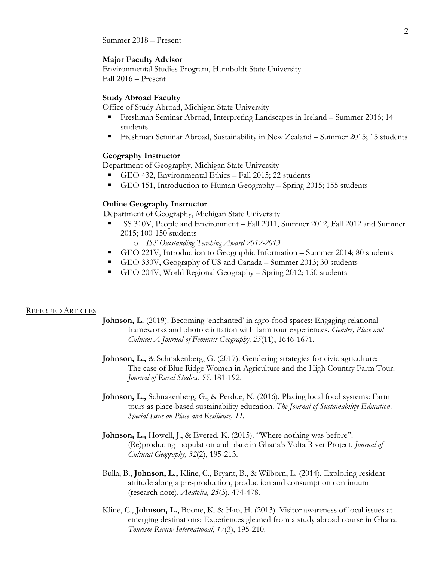Summer 2018 – Present

#### **Major Faculty Advisor**

Environmental Studies Program, Humboldt State University Fall 2016 – Present

### **Study Abroad Faculty**

Office of Study Abroad, Michigan State University

- § Freshman Seminar Abroad, Interpreting Landscapes in Ireland Summer 2016; 14 students
- Freshman Seminar Abroad, Sustainability in New Zealand Summer 2015; 15 students

## **Geography Instructor**

Department of Geography, Michigan State University

- § GEO 432, Environmental Ethics Fall 2015; 22 students
- GEO 151, Introduction to Human Geography Spring 2015; 155 students

### **Online Geography Instructor**

Department of Geography, Michigan State University

- § ISS 310V, People and Environment Fall 2011, Summer 2012, Fall 2012 and Summer 2015; 100-150 students
	- o *ISS Outstanding Teaching Award 2012-2013*
- § GEO 221V, Introduction to Geographic Information Summer 2014; 80 students
- GEO 330V, Geography of US and Canada Summer 2013; 30 students
- § GEO 204V, World Regional Geography Spring 2012; 150 students

#### REFEREED ARTICLES

- **Johnson, L.** (2019). Becoming 'enchanted' in agro-food spaces: Engaging relational frameworks and photo elicitation with farm tour experiences. *Gender, Place and Culture: A Journal of Feminist Geography, 25*(11), 1646-1671.
- **Johnson, L.,** & Schnakenberg, G. (2017). Gendering strategies for civic agriculture: The case of Blue Ridge Women in Agriculture and the High Country Farm Tour. *Journal of Rural Studies, 55,* 181-192.
- **Johnson, L.,** Schnakenberg, G., & Perdue, N. (2016). Placing local food systems: Farm tours as place-based sustainability education. *The Journal of Sustainability Education, Special Issue on Place and Resilience, 11.*
- **Johnson, L.,** Howell, J., & Evered, K. (2015). "Where nothing was before": (Re)producing population and place in Ghana's Volta River Project. *Journal of Cultural Geography, 32*(2), 195-213.
- Bulla, B., **Johnson, L.,** Kline, C., Bryant, B., & Wilborn, L. (2014). Exploring resident attitude along a pre-production, production and consumption continuum (research note). *Anatolia, 25*(3), 474-478.
- Kline, C., **Johnson, L.**, Boone, K. & Hao, H. (2013). Visitor awareness of local issues at emerging destinations: Experiences gleaned from a study abroad course in Ghana. *Tourism Review International, 17*(3), 195-210.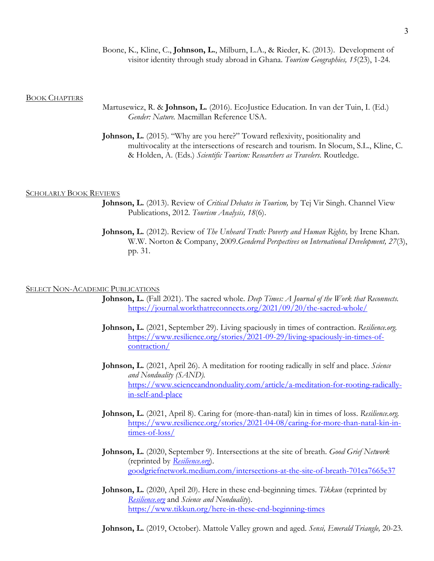Boone, K., Kline, C., **Johnson, L.**, Milburn, L.A., & Rieder, K. (2013). Development of visitor identity through study abroad in Ghana. *Tourism Geographies, 15*(23), 1-24*.* 

#### BOOK CHAPTERS

- Martusewicz, R. & **Johnson, L.** (2016). EcoJustice Education. In van der Tuin, I. (Ed.) *Gender: Nature.* Macmillan Reference USA.
- Johnson, L. (2015). "Why are you here?" Toward reflexivity, positionality and multivocality at the intersections of research and tourism. In Slocum, S.L., Kline, C. & Holden, A. (Eds.) *Scientific Tourism: Researchers as Travelers.* Routledge.

#### SCHOLARLY BOOK REVIEWS

- **Johnson, L.** (2013). Review of *Critical Debates in Tourism,* by Tej Vir Singh. Channel View Publications, 2012. *Tourism Analysis, 18*(6).
- **Johnson, L.** (2012). Review of *The Unheard Truth: Poverty and Human Rights,* by Irene Khan. W.W. Norton & Company, 2009.*Gendered Perspectives on International Development, 27*(3), pp. 31.

### SELECT NON-ACADEMIC PUBLICATIONS

- **Johnson, L.** (Fall 2021). The sacred whole. *Deep Times: A Journal of the Work that Reconnects.* https://journal.workthatreconnects.org/2021/09/20/the-sacred-whole/
- **Johnson, L.** (2021, September 29). Living spaciously in times of contraction. *Resilience.org.*  https://www.resilience.org/stories/2021-09-29/living-spaciously-in-times-ofcontraction/
- **Johnson, L.** (2021, April 26). A meditation for rooting radically in self and place. *Science and Nonduality (SAND).*  https://www.scienceandnonduality.com/article/a-meditation-for-rooting-radicallyin-self-and-place
- **Johnson, L.** (2021, April 8). Caring for (more-than-natal) kin in times of loss. *Resilience.org.*  https://www.resilience.org/stories/2021-04-08/caring-for-more-than-natal-kin-intimes-of-loss/
- **Johnson, L.** (2020, September 9). Intersections at the site of breath. *Good Grief Network*  (reprinted by *Resilience.org*). goodgriefnetwork.medium.com/intersections-at-the-site-of-breath-701ca7665e37
- **Johnson, L.** (2020, April 20). Here in these end-beginning times. *Tikkun* (reprinted by *Resilience.org* and *Science and Nonduality*). https://www.tikkun.org/here-in-these-end-beginning-times
- **Johnson, L.** (2019, October). Mattole Valley grown and aged. *Sensi, Emerald Triangle,* 20-23*.*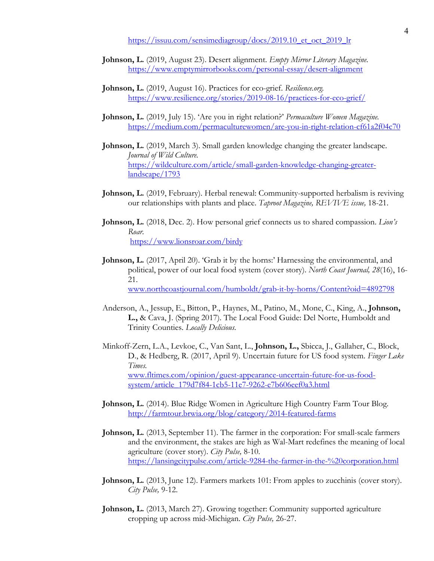- **Johnson, L.** (2019, August 23). Desert alignment. *Empty Mirror Literary Magazine.*  https://www.emptymirrorbooks.com/personal-essay/desert-alignment
- **Johnson, L.** (2019, August 16). Practices for eco-grief. *Resilience.org.*  https://www.resilience.org/stories/2019-08-16/practices-for-eco-grief/
- **Johnson, L.** (2019, July 15). 'Are you in right relation?' *Permaculture Women Magazine.*  https://medium.com/permaculturewomen/are-you-in-right-relation-cf61a2f04c70
- **Johnson, L.** (2019, March 3). Small garden knowledge changing the greater landscape. *Journal of Wild Culture.*  https://wildculture.com/article/small-garden-knowledge-changing-greaterlandscape/1793
- **Johnson, L.** (2019, February). Herbal renewal: Community-supported herbalism is reviving our relationships with plants and place. *Taproot Magazine, REVIVE issue,* 18-21.
- **Johnson, L.** (2018, Dec. 2). How personal grief connects us to shared compassion. *Lion's Roar.* https://www.lionsroar.com/birdy

- **Johnson, L.** (2017, April 20). 'Grab it by the horns:' Harnessing the environmental, and political, power of our local food system (cover story). *North Coast Journal, 28*(16), 16- 21. www.northcoastjournal.com/humboldt/grab-it-by-horns/Content?oid=4892798
- Anderson, A., Jessup, E., Bitton, P., Haynes, M., Patino, M., Mone, C., King, A., **Johnson, L.,** & Cava, J. (Spring 2017). The Local Food Guide: Del Norte, Humboldt and Trinity Counties. *Locally Delicious.*
- Minkoff-Zern, L.A., Levkoe, C., Van Sant, L., **Johnson, L.,** Sbicca, J., Gallaher, C., Block, D., & Hedberg, R. (2017, April 9). Uncertain future for US food system. *Finger Lake Times.*  www.fltimes.com/opinion/guest-appearance-uncertain-future-for-us-foodsystem/article\_179d7f84-1cb5-11e7-9262-e7b606eef0a3.html
- **Johnson, L.** (2014). Blue Ridge Women in Agriculture High Country Farm Tour Blog. http://farmtour.brwia.org/blog/category/2014-featured-farms
- **Johnson, L.** (2013, September 11). The farmer in the corporation: For small-scale farmers and the environment, the stakes are high as Wal-Mart redefines the meaning of local agriculture (cover story). *City Pulse,* 8-10. https://lansingcitypulse.com/article-9284-the-farmer-in-the-%20corporation.html
- **Johnson, L.** (2013, June 12). Farmers markets 101: From apples to zucchinis (cover story). *City Pulse,* 9-12.
- **Johnson, L.** (2013, March 27). Growing together: Community supported agriculture cropping up across mid-Michigan. *City Pulse,* 26-27.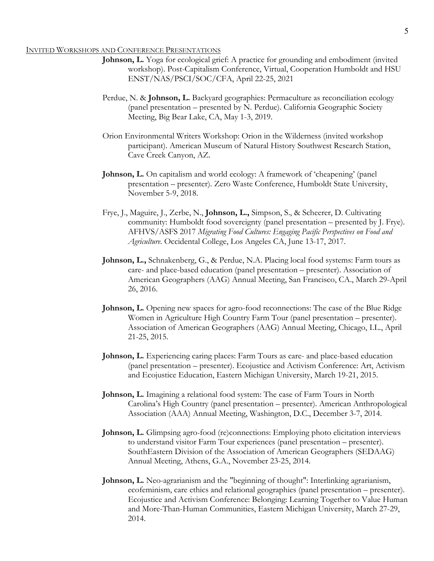#### INVITED WORKSHOPS AND CONFERENCE PRESENTATIONS

- **Johnson, L.** Yoga for ecological grief: A practice for grounding and embodiment (invited workshop). Post-Capitalism Conference, Virtual, Cooperation Humboldt and HSU ENST/NAS/PSCI/SOC/CFA, April 22-25, 2021
- Perdue, N. & **Johnson, L.** Backyard geographies: Permaculture as reconciliation ecology (panel presentation – presented by N. Perdue). California Geographic Society Meeting, Big Bear Lake, CA, May 1-3, 2019.
- Orion Environmental Writers Workshop: Orion in the Wilderness (invited workshop participant). American Museum of Natural History Southwest Research Station, Cave Creek Canyon, AZ.
- **Johnson, L.** On capitalism and world ecology: A framework of 'cheapening' (panel presentation – presenter). Zero Waste Conference, Humboldt State University, November 5-9, 2018.
- Frye, J., Maguire, J., Zerbe, N., **Johnson, L.,** Simpson, S., & Scheerer, D. Cultivating community: Humboldt food sovereignty (panel presentation – presented by J. Frye). AFHVS/ASFS 2017 *Migrating Food Cultures: Engaging Pacific Perspectives on Food and Agriculture*. Occidental College, Los Angeles CA, June 13-17, 2017.
- **Johnson, L.,** Schnakenberg, G., & Perdue, N.A. Placing local food systems: Farm tours as care- and place-based education (panel presentation – presenter). Association of American Geographers (AAG) Annual Meeting, San Francisco, CA., March 29-April 26, 2016.
- **Johnson, L.** Opening new spaces for agro-food reconnections: The case of the Blue Ridge Women in Agriculture High Country Farm Tour (panel presentation – presenter). Association of American Geographers (AAG) Annual Meeting, Chicago, I.L., April 21-25, 2015.
- Johnson, L. Experiencing caring places: Farm Tours as care- and place-based education (panel presentation – presenter). Ecojustice and Activism Conference: Art, Activism and Ecojustice Education, Eastern Michigan University, March 19-21, 2015.
- **Johnson, L.** Imagining a relational food system: The case of Farm Tours in North Carolina's High Country (panel presentation – presenter). American Anthropological Association (AAA) Annual Meeting, Washington, D.C., December 3-7, 2014.
- **Johnson, L.** Glimpsing agro-food (re)connections: Employing photo elicitation interviews to understand visitor Farm Tour experiences (panel presentation – presenter). SouthEastern Division of the Association of American Geographers (SEDAAG) Annual Meeting, Athens, G.A., November 23-25, 2014.
- **Johnson, L.** Neo-agrarianism and the "beginning of thought": Interlinking agrarianism, ecofeminism, care ethics and relational geographies (panel presentation – presenter). Ecojustice and Activism Conference: Belonging: Learning Together to Value Human and More-Than-Human Communities, Eastern Michigan University, March 27-29, 2014.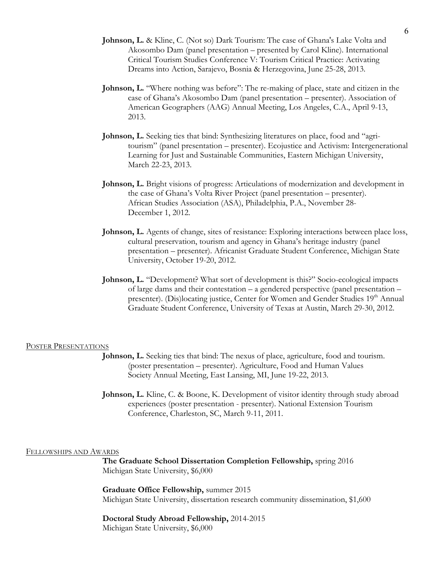- **Johnson, L.** & Kline, C. (Not so) Dark Tourism: The case of Ghana's Lake Volta and Akosombo Dam (panel presentation – presented by Carol Kline). International Critical Tourism Studies Conference V: Tourism Critical Practice: Activating Dreams into Action, Sarajevo, Bosnia & Herzegovina, June 25-28, 2013.
- **Johnson, L.** "Where nothing was before": The re-making of place, state and citizen in the case of Ghana's Akosombo Dam (panel presentation – presenter). Association of American Geographers (AAG) Annual Meeting, Los Angeles, C.A., April 9-13, 2013.
- **Johnson, L.** Seeking ties that bind: Synthesizing literatures on place, food and "agritourism" (panel presentation – presenter). Ecojustice and Activism: Intergenerational Learning for Just and Sustainable Communities, Eastern Michigan University, March 22-23, 2013.
- **Johnson, L.** Bright visions of progress: Articulations of modernization and development in the case of Ghana's Volta River Project (panel presentation – presenter). African Studies Association (ASA), Philadelphia, P.A., November 28- December 1, 2012.
- **Johnson, L.** Agents of change, sites of resistance: Exploring interactions between place loss, cultural preservation, tourism and agency in Ghana's heritage industry (panel presentation – presenter). Africanist Graduate Student Conference, Michigan State University, October 19-20, 2012.
- **Johnson, L.** "Development? What sort of development is this?" Socio-ecological impacts of large dams and their contestation – a gendered perspective (panel presentation – presenter). (Dis)locating justice, Center for Women and Gender Studies 19<sup>th</sup> Annual Graduate Student Conference, University of Texas at Austin, March 29-30, 2012.

### POSTER PRESENTATIONS

- **Johnson, L.** Seeking ties that bind: The nexus of place, agriculture, food and tourism. (poster presentation – presenter). Agriculture, Food and Human Values Society Annual Meeting, East Lansing, MI, June 19-22, 2013.
- **Johnson, L.** Kline, C. & Boone, K. Development of visitor identity through study abroad experiences (poster presentation - presenter). National Extension Tourism Conference, Charleston, SC, March 9-11, 2011.

### FELLOWSHIPS AND AWARDS

**The Graduate School Dissertation Completion Fellowship,** spring 2016 Michigan State University, \$6,000

**Graduate Office Fellowship,** summer 2015 Michigan State University, dissertation research community dissemination, \$1,600

# **Doctoral Study Abroad Fellowship,** 2014-2015

Michigan State University, \$6,000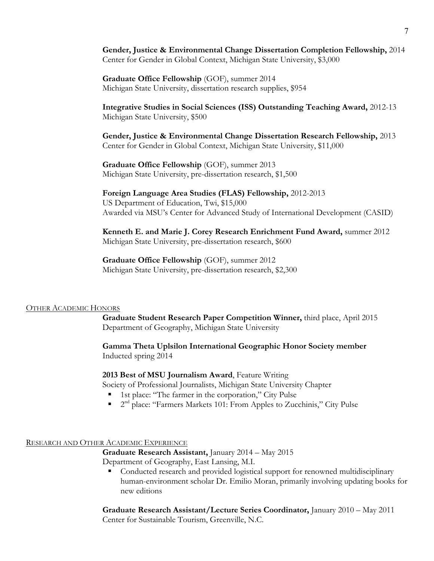**Gender, Justice & Environmental Change Dissertation Completion Fellowship,** 2014 Center for Gender in Global Context, Michigan State University, \$3,000

**Graduate Office Fellowship** (GOF), summer 2014 Michigan State University, dissertation research supplies, \$954

**Integrative Studies in Social Sciences (ISS) Outstanding Teaching Award,** 2012-13 Michigan State University, \$500

**Gender, Justice & Environmental Change Dissertation Research Fellowship,** 2013 Center for Gender in Global Context, Michigan State University, \$11,000

 **Graduate Office Fellowship** (GOF), summer 2013 Michigan State University, pre-dissertation research, \$1,500

 **Foreign Language Area Studies (FLAS) Fellowship,** 2012-2013 US Department of Education, Twi, \$15,000 Awarded via MSU's Center for Advanced Study of International Development (CASID)

**Kenneth E. and Marie J. Corey Research Enrichment Fund Award,** summer 2012 Michigan State University, pre-dissertation research, \$600

**Graduate Office Fellowship** (GOF), summer 2012 Michigan State University, pre-dissertation research, \$2,300

### OTHER ACADEMIC HONORS

**Graduate Student Research Paper Competition Winner,** third place, April 2015 Department of Geography, Michigan State University

**Gamma Theta Uplsilon International Geographic Honor Society member** Inducted spring 2014

**2013 Best of MSU Journalism Award**, Feature Writing

Society of Professional Journalists, Michigan State University Chapter

- § 1st place: "The farmer in the corporation," City Pulse
- <sup>2nd</sup> place: "Farmers Markets 101: From Apples to Zucchinis," City Pulse

RESEARCH AND OTHER ACADEMIC EXPERIENCE

**Graduate Research Assistant,** January 2014 – May 2015 Department of Geography, East Lansing, M.I.

§ Conducted research and provided logistical support for renowned multidisciplinary human-environment scholar Dr. Emilio Moran, primarily involving updating books for new editions

**Graduate Research Assistant/Lecture Series Coordinator,** January 2010 – May 2011 Center for Sustainable Tourism, Greenville, N.C.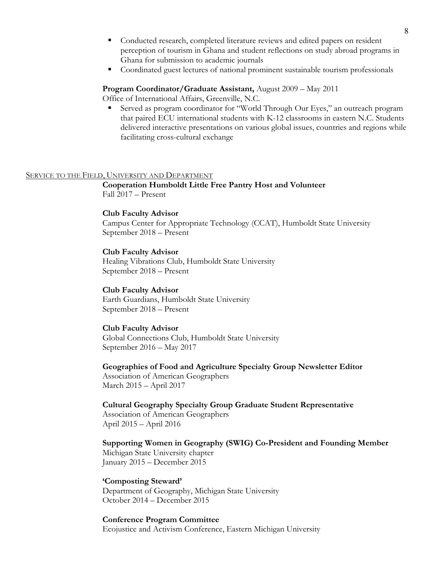- Conducted research, completed literature reviews and edited papers on resident perception of tourism in Ghana and student reflections on study abroad programs in Ghana for submission to academic journals
- Coordinated guest lectures of national prominent sustainable tourism professionals

### **Program Coordinator/Graduate Assistant,** August 2009 – May 2011

Office of International Affairs, Greenville, N.C.

■ Served as program coordinator for "World Through Our Eyes," an outreach program that paired ECU international students with K-12 classrooms in eastern N.C. Students delivered interactive presentations on various global issues, countries and regions while facilitating cross-cultural exchange

### SERVICE TO THE FIELD, UNIVERSITY AND DEPARTMENT

**Cooperation Humboldt Little Free Pantry Host and Volunteer** Fall 2017 – Present

### **Club Faculty Advisor**

Campus Center for Appropriate Technology (CCAT), Humboldt State University September 2018 – Present

#### **Club Faculty Advisor**

Healing Vibrations Club, Humboldt State University September 2018 – Present

#### **Club Faculty Advisor**

Earth Guardians, Humboldt State University September 2018 – Present

#### **Club Faculty Advisor**

Global Connections Club, Humboldt State University September 2016 – May 2017

**Geographies of Food and Agriculture Specialty Group Newsletter Editor** Association of American Geographers March 2015 – April 2017

## **Cultural Geography Specialty Group Graduate Student Representative** Association of American Geographers

April 2015 – April 2016

# **Supporting Women in Geography (SWIG) Co-President and Founding Member** Michigan State University chapter

January 2015 – December 2015

### **'Composting Steward'**

Department of Geography, Michigan State University October 2014 – December 2015

#### **Conference Program Committee**

Ecojustice and Activism Conference, Eastern Michigan University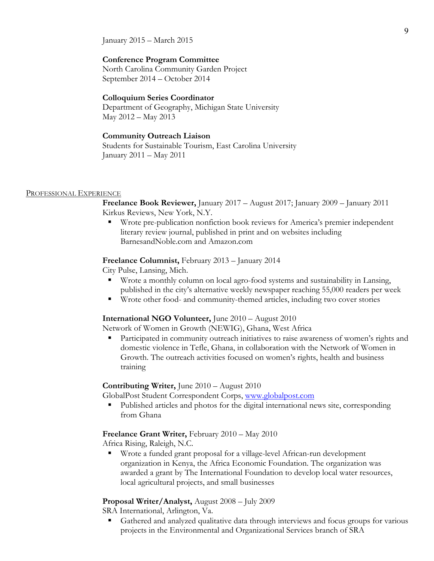January 2015 – March 2015

### **Conference Program Committee**

North Carolina Community Garden Project September 2014 – October 2014

### **Colloquium Series Coordinator**

Department of Geography, Michigan State University May 2012 – May 2013

### **Community Outreach Liaison**

Students for Sustainable Tourism, East Carolina University January 2011 – May 2011

#### PROFESSIONAL EXPERIENCE

**Freelance Book Reviewer,** January 2017 – August 2017; January 2009 – January 2011 Kirkus Reviews, New York, N.Y.

§ Wrote pre-publication nonfiction book reviews for America's premier independent literary review journal, published in print and on websites including BarnesandNoble.com and Amazon.com

### **Freelance Columnist,** February 2013 – January 2014

City Pulse, Lansing, Mich.

- Wrote a monthly column on local agro-food systems and sustainability in Lansing, published in the city's alternative weekly newspaper reaching 55,000 readers per week
- Wrote other food- and community-themed articles, including two cover stories

### **International NGO Volunteer,** June 2010 – August 2010

Network of Women in Growth (NEWIG), Ghana, West Africa

Participated in community outreach initiatives to raise awareness of women's rights and domestic violence in Tefle, Ghana, in collaboration with the Network of Women in Growth. The outreach activities focused on women's rights, health and business training

### **Contributing Writer,** June 2010 – August 2010

GlobalPost Student Correspondent Corps, www.globalpost.com

§ Published articles and photos for the digital international news site, corresponding from Ghana

### **Freelance Grant Writer,** February 2010 – May 2010

Africa Rising, Raleigh, N.C.

§ Wrote a funded grant proposal for a village-level African-run development organization in Kenya, the Africa Economic Foundation. The organization was awarded a grant by The International Foundation to develop local water resources, local agricultural projects, and small businesses

### **Proposal Writer/Analyst,** August 2008 – July 2009

SRA International, Arlington, Va.

■ Gathered and analyzed qualitative data through interviews and focus groups for various projects in the Environmental and Organizational Services branch of SRA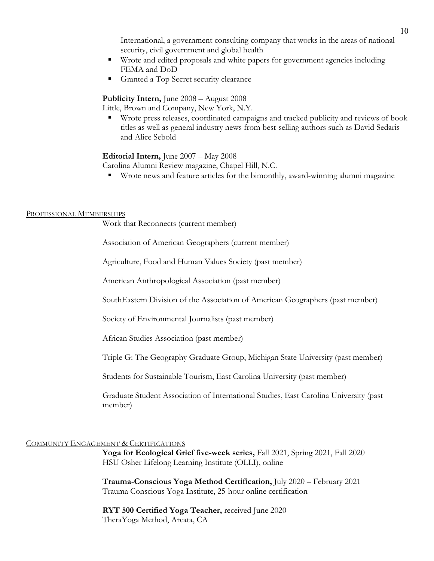International, a government consulting company that works in the areas of national security, civil government and global health

- § Wrote and edited proposals and white papers for government agencies including FEMA and DoD
- Granted a Top Secret security clearance

## **Publicity Intern,** June 2008 – August 2008

Little, Brown and Company, New York, N.Y.

§ Wrote press releases, coordinated campaigns and tracked publicity and reviews of book titles as well as general industry news from best-selling authors such as David Sedaris and Alice Sebold

# **Editorial Intern,** June 2007 – May 2008

Carolina Alumni Review magazine, Chapel Hill, N.C.

§ Wrote news and feature articles for the bimonthly, award-winning alumni magazine

### PROFESSIONAL MEMBERSHIPS

Work that Reconnects (current member)

Association of American Geographers (current member)

Agriculture, Food and Human Values Society (past member)

American Anthropological Association (past member)

SouthEastern Division of the Association of American Geographers (past member)

Society of Environmental Journalists (past member)

African Studies Association (past member)

Triple G: The Geography Graduate Group, Michigan State University (past member)

Students for Sustainable Tourism, East Carolina University (past member)

 Graduate Student Association of International Studies, East Carolina University (past member)

## COMMUNITY ENGAGEMENT & CERTIFICATIONS

**Yoga for Ecological Grief five-week series,** Fall 2021, Spring 2021, Fall 2020 HSU Osher Lifelong Learning Institute (OLLI), online

**Trauma-Conscious Yoga Method Certification,** July 2020 – February 2021 Trauma Conscious Yoga Institute, 25-hour online certification

**RYT 500 Certified Yoga Teacher,** received June 2020 TheraYoga Method, Arcata, CA